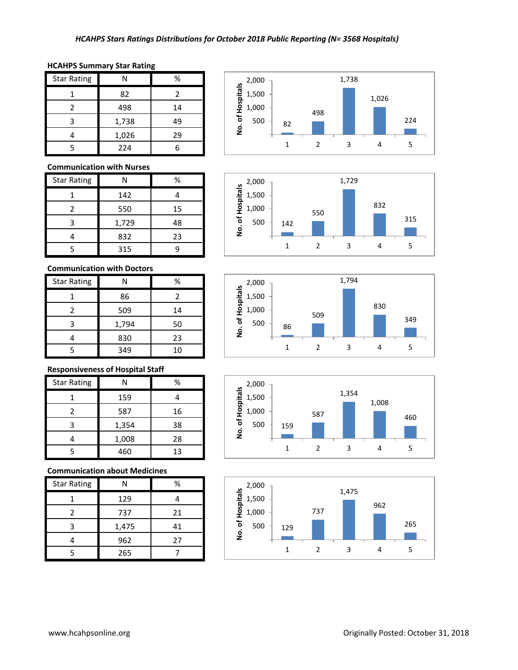## **HCAHPS Summary Star Rating**

| <b>Star Rating</b> |       | ℅  |  |
|--------------------|-------|----|--|
|                    | 82    | 2  |  |
| 2                  | 498   | 14 |  |
|                    | 1,738 | 49 |  |
|                    | 1,026 | 29 |  |
|                    | 224   |    |  |

#### **Communication with Nurses**

| <b>Star Rating</b> | N     | %  |
|--------------------|-------|----|
|                    | 142   |    |
| 2                  | 550   | 15 |
| 3                  | 1,729 | 48 |
|                    | 832   | 23 |
|                    | 315   |    |

## **Communication with Doctors**

| <b>Star Rating</b> | N     | ℅  |  |
|--------------------|-------|----|--|
|                    | 86    | 2  |  |
| 2                  | 509   | 14 |  |
| ς                  | 1,794 | 50 |  |
|                    | 830   | 23 |  |
|                    | 349   | 10 |  |

### **Responsiveness of Hospital Staff**

| <b>Star Rating</b> |       | %  |
|--------------------|-------|----|
|                    | 159   |    |
| $\mathcal{P}$      | 587   | 16 |
| ੨                  | 1,354 | 38 |
|                    | 1,008 | 28 |
|                    | 460   | 13 |

### **Communication about Medicines**

| <b>Star Rating</b> | N     | %  |  |
|--------------------|-------|----|--|
|                    | 129   |    |  |
| 2                  | 737   | 21 |  |
| 3                  | 1,475 | 41 |  |
|                    | 962   | 27 |  |
|                    | 265   |    |  |









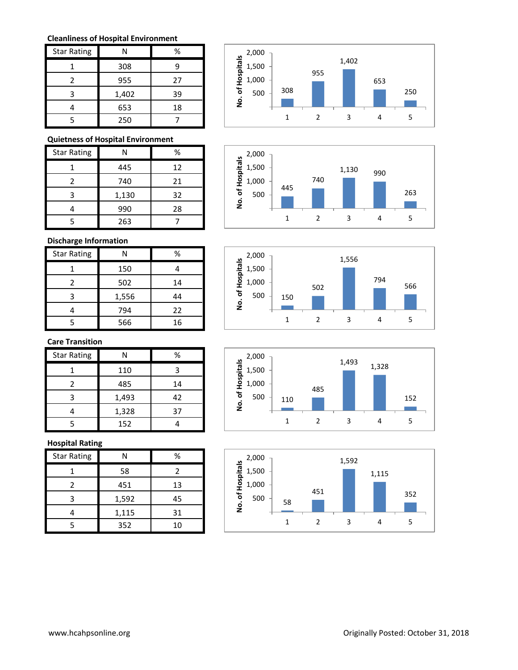## **Cleanliness of Hospital Environment**

| <b>Star Rating</b> | Ν     | %  |
|--------------------|-------|----|
|                    | 308   | q  |
| 7                  | 955   | 27 |
|                    | 1,402 | 39 |
|                    | 653   | 18 |
|                    | 250   |    |

# **Quietness of Hospital Environment**

| <b>Star Rating</b> | N     | ℅  |
|--------------------|-------|----|
|                    | 445   | 12 |
| 2                  | 740   | 21 |
| 3                  | 1,130 | 32 |
|                    | 990   | 28 |
|                    | 263   |    |

### **Discharge Information**

| <b>Star Rating</b> |       | %  |
|--------------------|-------|----|
|                    | 150   |    |
| 2                  | 502   | 14 |
| 3                  | 1,556 | 44 |
|                    | 794   | 22 |
|                    | 566   | 16 |

## **Care Transition**

| <b>Star Rating</b> | N     | %  |
|--------------------|-------|----|
|                    | 110   |    |
| 2                  | 485   | 14 |
| ς                  | 1,493 | 42 |
|                    | 1,328 | 37 |
|                    | 152   |    |

## **Hospital Rating**

| <b>Star Rating</b> | Ν     | %  |
|--------------------|-------|----|
|                    | 58    | 2  |
|                    | 451   | 13 |
|                    | 1,592 | 45 |
|                    | 1,115 | 31 |
|                    | 352   | 10 |